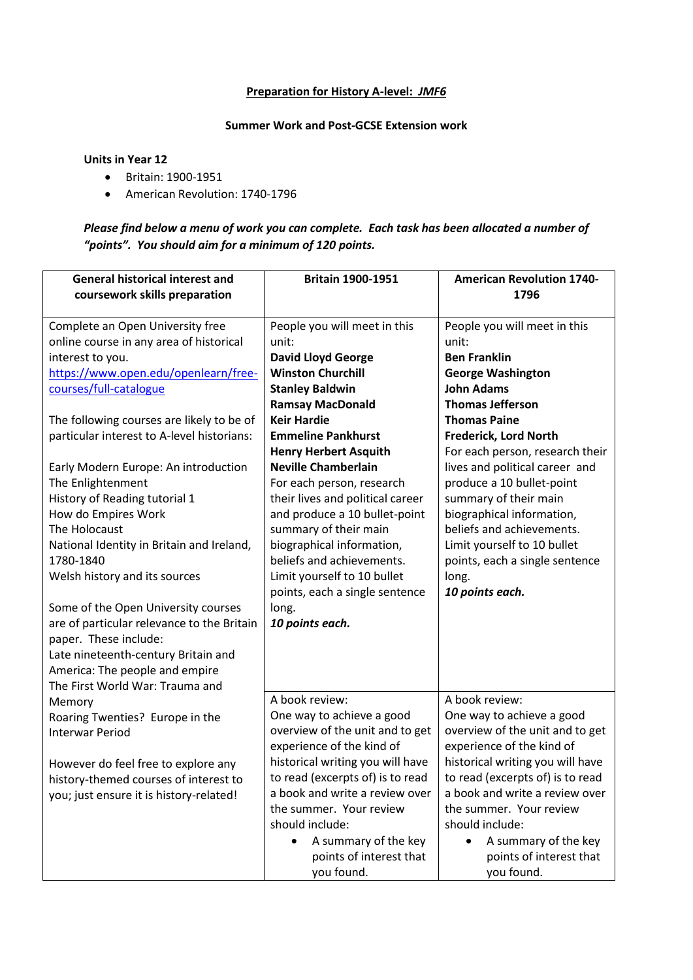## **Preparation for History A-level:** *JMF6*

## **Summer Work and Post-GCSE Extension work**

## **Units in Year 12**

- Britain: 1900-1951
- American Revolution: 1740-1796

## *Please find below a menu of work you can complete. Each task has been allocated a number of "points". You should aim for a minimum of 120 points.*

| <b>General historical interest and</b>                                           | <b>Britain 1900-1951</b>                                     | <b>American Revolution 1740-</b><br>1796                     |
|----------------------------------------------------------------------------------|--------------------------------------------------------------|--------------------------------------------------------------|
| coursework skills preparation                                                    |                                                              |                                                              |
| Complete an Open University free                                                 | People you will meet in this                                 | People you will meet in this                                 |
| online course in any area of historical                                          | unit:                                                        | unit:                                                        |
| interest to you.                                                                 | <b>David Lloyd George</b>                                    | <b>Ben Franklin</b>                                          |
| https://www.open.edu/openlearn/free-                                             | <b>Winston Churchill</b>                                     | <b>George Washington</b>                                     |
| courses/full-catalogue                                                           | <b>Stanley Baldwin</b>                                       | <b>John Adams</b>                                            |
|                                                                                  | <b>Ramsay MacDonald</b>                                      | <b>Thomas Jefferson</b>                                      |
| The following courses are likely to be of                                        | <b>Keir Hardie</b>                                           | <b>Thomas Paine</b>                                          |
| particular interest to A-level historians:                                       | <b>Emmeline Pankhurst</b>                                    | <b>Frederick, Lord North</b>                                 |
|                                                                                  | <b>Henry Herbert Asquith</b>                                 | For each person, research their                              |
| Early Modern Europe: An introduction                                             | <b>Neville Chamberlain</b>                                   | lives and political career and                               |
| The Enlightenment                                                                | For each person, research                                    | produce a 10 bullet-point                                    |
| History of Reading tutorial 1                                                    | their lives and political career                             | summary of their main                                        |
| How do Empires Work                                                              | and produce a 10 bullet-point                                | biographical information,                                    |
| The Holocaust                                                                    | summary of their main                                        | beliefs and achievements.                                    |
| National Identity in Britain and Ireland,                                        | biographical information,                                    | Limit yourself to 10 bullet                                  |
| 1780-1840                                                                        | beliefs and achievements.                                    | points, each a single sentence                               |
| Welsh history and its sources                                                    | Limit yourself to 10 bullet                                  | long.                                                        |
|                                                                                  | points, each a single sentence                               | 10 points each.                                              |
| Some of the Open University courses                                              | long.                                                        |                                                              |
| are of particular relevance to the Britain                                       | 10 points each.                                              |                                                              |
| paper. These include:                                                            |                                                              |                                                              |
| Late nineteenth-century Britain and                                              |                                                              |                                                              |
| America: The people and empire                                                   |                                                              |                                                              |
| The First World War: Trauma and                                                  | A book review:                                               | A book review:                                               |
| Memory                                                                           |                                                              |                                                              |
| Roaring Twenties? Europe in the                                                  | One way to achieve a good<br>overview of the unit and to get | One way to achieve a good<br>overview of the unit and to get |
| <b>Interwar Period</b>                                                           | experience of the kind of                                    | experience of the kind of                                    |
|                                                                                  | historical writing you will have                             | historical writing you will have                             |
| However do feel free to explore any                                              | to read (excerpts of) is to read                             | to read (excerpts of) is to read                             |
| history-themed courses of interest to<br>you; just ensure it is history-related! | a book and write a review over                               | a book and write a review over                               |
|                                                                                  | the summer. Your review                                      | the summer. Your review                                      |
|                                                                                  | should include:                                              | should include:                                              |
|                                                                                  | A summary of the key                                         | A summary of the key                                         |
|                                                                                  | points of interest that                                      | points of interest that                                      |
|                                                                                  | you found.                                                   | you found.                                                   |